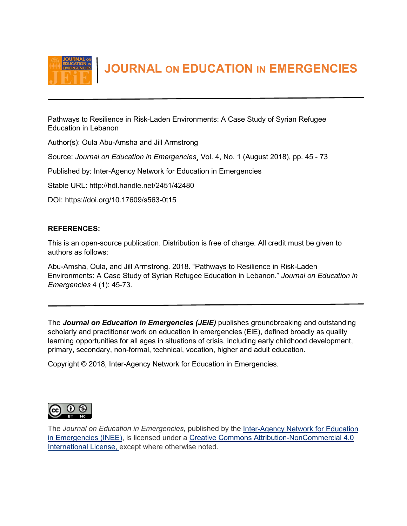

 **JOURNAL ON EDUCATION IN EMERGENCIES**

Pathways to Resilience in Risk-Laden Environments: A Case Study of Syrian Refugee Education in Lebanon

Author(s): Oula Abu-Amsha and Jill Armstrong

Source: *Journal on Education in Emergencies*¸ Vol. 4, No. 1 (August 2018), pp. 45 - 73

Published by: Inter-Agency Network for Education in Emergencies

Stable URL: http://hdl.handle.net/2451/42480

DOI: https://doi.org/10.17609/s563-0t15

# **REFERENCES:**

This is an open-source publication. Distribution is free of charge. All credit must be given to authors as follows:

Abu-Amsha, Oula, and Jill Armstrong. 2018. "Pathways to Resilience in Risk-Laden Environments: A Case Study of Syrian Refugee Education in Lebanon." *Journal on Education in Emergencies* 4 (1): 45-73.

The *Journal on Education in Emergencies (JEiE)* publishes groundbreaking and outstanding scholarly and practitioner work on education in emergencies (EiE), defined broadly as quality learning opportunities for all ages in situations of crisis, including early childhood development, primary, secondary, non-formal, technical, vocation, higher and adult education.

Copyright © 2018, Inter-Agency Network for Education in Emergencies.



The *Journal on Education in Emergencies,* published by the Inter-Agency [Network for Education](http://www.ineesite.org/en/journal)  [in Emergencies \(INEE\),](http://www.ineesite.org/en/journal) is licensed under a [Creative Commons Attribution-NonCommercial 4.0](http://creativecommons.org/licenses/by-nc/4.0/)  [International License,](http://creativecommons.org/licenses/by-nc/4.0/) except where otherwise noted.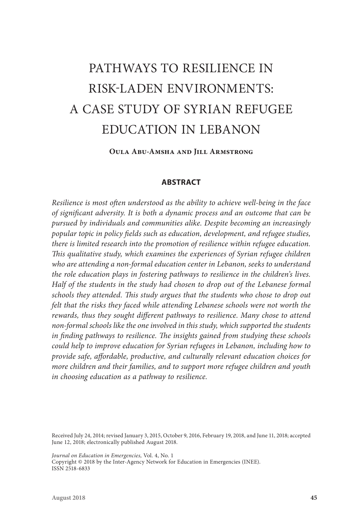# PATHWAYS TO RESILIENCE IN RISK-LADEN ENVIRONMENTS: A CASE STUDY OF SYRIAN REFUGEE EDUCATION IN LEBANON

**Oula Abu-Amsha and Jill Armstrong**

#### **ABSTRACT**

*Resilience is most often understood as the ability to achieve well-being in the face of significant adversity. It is both a dynamic process and an outcome that can be pursued by individuals and communities alike. Despite becoming an increasingly popular topic in policy fields such as education, development, and refugee studies, there is limited research into the promotion of resilience within refugee education. This qualitative study, which examines the experiences of Syrian refugee children who are attending a non-formal education center in Lebanon, seeks to understand the role education plays in fostering pathways to resilience in the children's lives. Half of the students in the study had chosen to drop out of the Lebanese formal schools they attended. This study argues that the students who chose to drop out felt that the risks they faced while attending Lebanese schools were not worth the rewards, thus they sought different pathways to resilience. Many chose to attend non-formal schools like the one involved in this study, which supported the students in finding pathways to resilience. The insights gained from studying these schools could help to improve education for Syrian refugees in Lebanon, including how to provide safe, affordable, productive, and culturally relevant education choices for more children and their families, and to support more refugee children and youth in choosing education as a pathway to resilience.*

Received July 24, 2014; revised January 3, 2015, October 9, 2016, February 19, 2018, and June 11, 2018; accepted June 12, 2018; electronically published August 2018.

*Journal on Education in Emergencies,* Vol. 4, No. 1

Copyright © 2018 by the Inter-Agency Network for Education in Emergencies (INEE). ISSN 2518-6833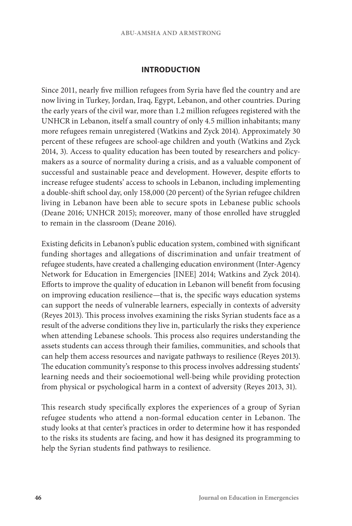#### **INTRODUCTION**

Since 2011, nearly five million refugees from Syria have fled the country and are now living in Turkey, Jordan, Iraq, Egypt, Lebanon, and other countries. During the early years of the civil war, more than 1.2 million refugees registered with the UNHCR in Lebanon, itself a small country of only 4.5 million inhabitants; many more refugees remain unregistered (Watkins and Zyck 2014). Approximately 30 percent of these refugees are school-age children and youth (Watkins and Zyck 2014, 3). Access to quality education has been touted by researchers and policymakers as a source of normality during a crisis, and as a valuable component of successful and sustainable peace and development. However, despite efforts to increase refugee students' access to schools in Lebanon, including implementing a double-shift school day, only 158,000 (20 percent) of the Syrian refugee children living in Lebanon have been able to secure spots in Lebanese public schools (Deane 2016; UNHCR 2015); moreover, many of those enrolled have struggled to remain in the classroom (Deane 2016).

Existing deficits in Lebanon's public education system, combined with significant funding shortages and allegations of discrimination and unfair treatment of refugee students, have created a challenging education environment (Inter-Agency Network for Education in Emergencies [INEE] 2014; Watkins and Zyck 2014). Efforts to improve the quality of education in Lebanon will benefit from focusing on improving education resilience—that is, the specific ways education systems can support the needs of vulnerable learners, especially in contexts of adversity (Reyes 2013). This process involves examining the risks Syrian students face as a result of the adverse conditions they live in, particularly the risks they experience when attending Lebanese schools. This process also requires understanding the assets students can access through their families, communities, and schools that can help them access resources and navigate pathways to resilience (Reyes 2013). The education community's response to this process involves addressing students' learning needs and their socioemotional well-being while providing protection from physical or psychological harm in a context of adversity (Reyes 2013, 31).

This research study specifically explores the experiences of a group of Syrian refugee students who attend a non-formal education center in Lebanon. The study looks at that center's practices in order to determine how it has responded to the risks its students are facing, and how it has designed its programming to help the Syrian students find pathways to resilience.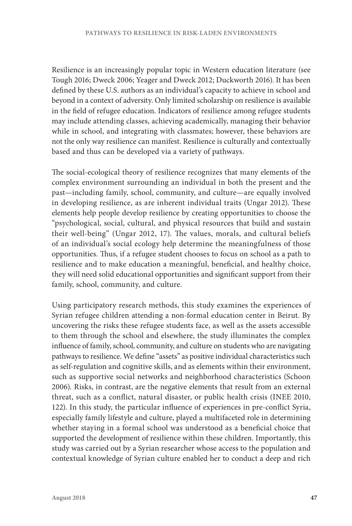Resilience is an increasingly popular topic in Western education literature (see Tough 2016; Dweck 2006; Yeager and Dweck 2012; Duckworth 2016). It has been defined by these U.S. authors as an individual's capacity to achieve in school and beyond in a context of adversity. Only limited scholarship on resilience is available in the field of refugee education. Indicators of resilience among refugee students may include attending classes, achieving academically, managing their behavior while in school, and integrating with classmates; however, these behaviors are not the only way resilience can manifest. Resilience is culturally and contextually based and thus can be developed via a variety of pathways.

The social-ecological theory of resilience recognizes that many elements of the complex environment surrounding an individual in both the present and the past—including family, school, community, and culture—are equally involved in developing resilience, as are inherent individual traits (Ungar 2012). These elements help people develop resilience by creating opportunities to choose the "psychological, social, cultural, and physical resources that build and sustain their well-being" (Ungar 2012, 17). The values, morals, and cultural beliefs of an individual's social ecology help determine the meaningfulness of those opportunities. Thus, if a refugee student chooses to focus on school as a path to resilience and to make education a meaningful, beneficial, and healthy choice, they will need solid educational opportunities and significant support from their family, school, community, and culture.

Using participatory research methods, this study examines the experiences of Syrian refugee children attending a non-formal education center in Beirut. By uncovering the risks these refugee students face, as well as the assets accessible to them through the school and elsewhere, the study illuminates the complex influence of family, school, community, and culture on students who are navigating pathways to resilience. We define "assets" as positive individual characteristics such as self-regulation and cognitive skills, and as elements within their environment, such as supportive social networks and neighborhood characteristics (Schoon 2006). Risks, in contrast, are the negative elements that result from an external threat, such as a conflict, natural disaster, or public health crisis (INEE 2010, 122). In this study, the particular influence of experiences in pre-conflict Syria, especially family lifestyle and culture, played a multifaceted role in determining whether staying in a formal school was understood as a beneficial choice that supported the development of resilience within these children. Importantly, this study was carried out by a Syrian researcher whose access to the population and contextual knowledge of Syrian culture enabled her to conduct a deep and rich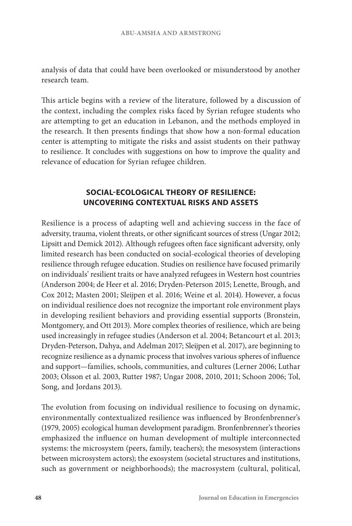analysis of data that could have been overlooked or misunderstood by another research team.

This article begins with a review of the literature, followed by a discussion of the context, including the complex risks faced by Syrian refugee students who are attempting to get an education in Lebanon, and the methods employed in the research. It then presents findings that show how a non-formal education center is attempting to mitigate the risks and assist students on their pathway to resilience. It concludes with suggestions on how to improve the quality and relevance of education for Syrian refugee children.

# **SOCIAL-ECOLOGICAL THEORY OF RESILIENCE: UNCOVERING CONTEXTUAL RISKS AND ASSETS**

Resilience is a process of adapting well and achieving success in the face of adversity, trauma, violent threats, or other significant sources of stress (Ungar 2012; Lipsitt and Demick 2012). Although refugees often face significant adversity, only limited research has been conducted on social-ecological theories of developing resilience through refugee education. Studies on resilience have focused primarily on individuals' resilient traits or have analyzed refugees in Western host countries (Anderson 2004; de Heer et al. 2016; Dryden-Peterson 2015; Lenette, Brough, and Cox 2012; Masten 2001; Sleijpen et al. 2016; Weine et al. 2014). However, a focus on individual resilience does not recognize the important role environment plays in developing resilient behaviors and providing essential supports (Bronstein, Montgomery, and Ott 2013). More complex theories of resilience, which are being used increasingly in refugee studies (Anderson et al. 2004; Betancourt et al. 2013; Dryden-Peterson, Dahya, and Adelman 2017; Sleijpen et al. 2017), are beginning to recognize resilience as a dynamic process that involves various spheres of influence and support—families, schools, communities, and cultures (Lerner 2006; Luthar 2003; Olsson et al. 2003, Rutter 1987; Ungar 2008, 2010, 2011; Schoon 2006; Tol, Song, and Jordans 2013).

The evolution from focusing on individual resilience to focusing on dynamic, environmentally contextualized resilience was influenced by Bronfenbrenner's (1979, 2005) ecological human development paradigm. Bronfenbrenner's theories emphasized the influence on human development of multiple interconnected systems: the microsystem (peers, family, teachers); the mesosystem (interactions between microsystem actors); the exosystem (societal structures and institutions, such as government or neighborhoods); the macrosystem (cultural, political,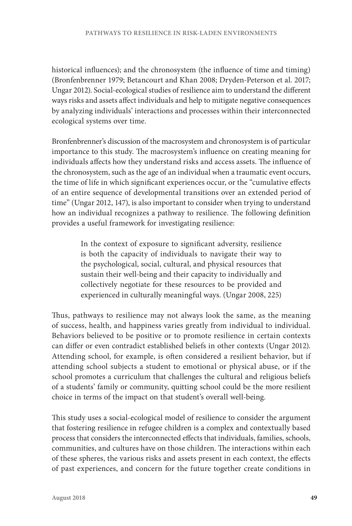historical influences); and the chronosystem (the influence of time and timing) (Bronfenbrenner 1979; Betancourt and Khan 2008; Dryden-Peterson et al. 2017; Ungar 2012). Social-ecological studies of resilience aim to understand the different ways risks and assets affect individuals and help to mitigate negative consequences by analyzing individuals' interactions and processes within their interconnected ecological systems over time.

Bronfenbrenner's discussion of the macrosystem and chronosystem is of particular importance to this study. The macrosystem's influence on creating meaning for individuals affects how they understand risks and access assets. The influence of the chronosystem, such as the age of an individual when a traumatic event occurs, the time of life in which significant experiences occur, or the "cumulative effects of an entire sequence of developmental transitions over an extended period of time" (Ungar 2012, 147), is also important to consider when trying to understand how an individual recognizes a pathway to resilience. The following definition provides a useful framework for investigating resilience:

> In the context of exposure to significant adversity, resilience is both the capacity of individuals to navigate their way to the psychological, social, cultural, and physical resources that sustain their well-being and their capacity to individually and collectively negotiate for these resources to be provided and experienced in culturally meaningful ways. (Ungar 2008, 225)

Thus, pathways to resilience may not always look the same, as the meaning of success, health, and happiness varies greatly from individual to individual. Behaviors believed to be positive or to promote resilience in certain contexts can differ or even contradict established beliefs in other contexts (Ungar 2012). Attending school, for example, is often considered a resilient behavior, but if attending school subjects a student to emotional or physical abuse, or if the school promotes a curriculum that challenges the cultural and religious beliefs of a students' family or community, quitting school could be the more resilient choice in terms of the impact on that student's overall well-being.

This study uses a social-ecological model of resilience to consider the argument that fostering resilience in refugee children is a complex and contextually based process that considers the interconnected effects that individuals, families, schools, communities, and cultures have on those children. The interactions within each of these spheres, the various risks and assets present in each context, the effects of past experiences, and concern for the future together create conditions in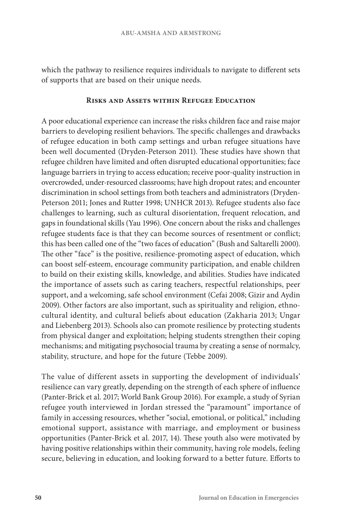which the pathway to resilience requires individuals to navigate to different sets of supports that are based on their unique needs.

#### **Risks and Assets within Refugee Education**

A poor educational experience can increase the risks children face and raise major barriers to developing resilient behaviors. The specific challenges and drawbacks of refugee education in both camp settings and urban refugee situations have been well documented (Dryden-Peterson 2011). These studies have shown that refugee children have limited and often disrupted educational opportunities; face language barriers in trying to access education; receive poor-quality instruction in overcrowded, under-resourced classrooms; have high dropout rates; and encounter discrimination in school settings from both teachers and administrators (Dryden-Peterson 2011; Jones and Rutter 1998; UNHCR 2013). Refugee students also face challenges to learning, such as cultural disorientation, frequent relocation, and gaps in foundational skills (Yau 1996). One concern about the risks and challenges refugee students face is that they can become sources of resentment or conflict; this has been called one of the "two faces of education" (Bush and Saltarelli 2000). The other "face" is the positive, resilience-promoting aspect of education, which can boost self-esteem, encourage community participation, and enable children to build on their existing skills, knowledge, and abilities. Studies have indicated the importance of assets such as caring teachers, respectful relationships, peer support, and a welcoming, safe school environment (Cefai 2008; Gizir and Aydin 2009). Other factors are also important, such as spirituality and religion, ethnocultural identity, and cultural beliefs about education (Zakharia 2013; Ungar and Liebenberg 2013). Schools also can promote resilience by protecting students from physical danger and exploitation; helping students strengthen their coping mechanisms; and mitigating psychosocial trauma by creating a sense of normalcy, stability, structure, and hope for the future (Tebbe 2009).

The value of different assets in supporting the development of individuals' resilience can vary greatly, depending on the strength of each sphere of influence (Panter-Brick et al. 2017; World Bank Group 2016). For example, a study of Syrian refugee youth interviewed in Jordan stressed the "paramount" importance of family in accessing resources, whether "social, emotional, or political," including emotional support, assistance with marriage, and employment or business opportunities (Panter-Brick et al. 2017, 14). These youth also were motivated by having positive relationships within their community, having role models, feeling secure, believing in education, and looking forward to a better future. Efforts to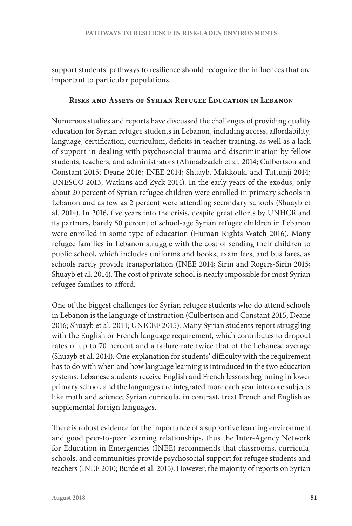support students' pathways to resilience should recognize the influences that are important to particular populations.

#### **Risks and Assets of Syrian Refugee Education in Lebanon**

Numerous studies and reports have discussed the challenges of providing quality education for Syrian refugee students in Lebanon, including access, affordability, language, certification, curriculum, deficits in teacher training, as well as a lack of support in dealing with psychosocial trauma and discrimination by fellow students, teachers, and administrators (Ahmadzadeh et al. 2014; Culbertson and Constant 2015; Deane 2016; INEE 2014; Shuayb, Makkouk, and Tuttunji 2014; UNESCO 2013; Watkins and Zyck 2014). In the early years of the exodus, only about 20 percent of Syrian refugee children were enrolled in primary schools in Lebanon and as few as 2 percent were attending secondary schools (Shuayb et al. 2014). In 2016, five years into the crisis, despite great efforts by UNHCR and its partners, barely 50 percent of school-age Syrian refugee children in Lebanon were enrolled in some type of education (Human Rights Watch 2016). Many refugee families in Lebanon struggle with the cost of sending their children to public school, which includes uniforms and books, exam fees, and bus fares, as schools rarely provide transportation (INEE 2014; Sirin and Rogers-Sirin 2015; Shuayb et al. 2014). The cost of private school is nearly impossible for most Syrian refugee families to afford.

One of the biggest challenges for Syrian refugee students who do attend schools in Lebanon is the language of instruction (Culbertson and Constant 2015; Deane 2016; Shuayb et al. 2014; UNICEF 2015). Many Syrian students report struggling with the English or French language requirement, which contributes to dropout rates of up to 70 percent and a failure rate twice that of the Lebanese average (Shuayb et al. 2014). One explanation for students' difficulty with the requirement has to do with when and how language learning is introduced in the two education systems. Lebanese students receive English and French lessons beginning in lower primary school, and the languages are integrated more each year into core subjects like math and science; Syrian curricula, in contrast, treat French and English as supplemental foreign languages.

There is robust evidence for the importance of a supportive learning environment and good peer-to-peer learning relationships, thus the Inter-Agency Network for Education in Emergencies (INEE) recommends that classrooms, curricula, schools, and communities provide psychosocial support for refugee students and teachers (INEE 2010; Burde et al. 2015). However, the majority of reports on Syrian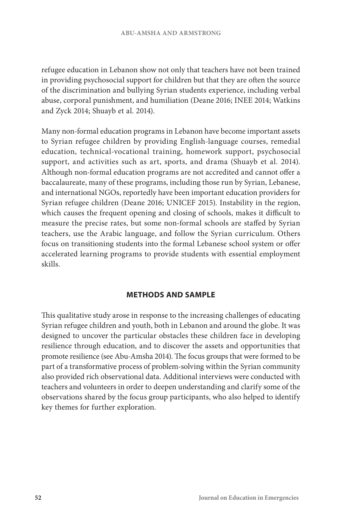refugee education in Lebanon show not only that teachers have not been trained in providing psychosocial support for children but that they are often the source of the discrimination and bullying Syrian students experience, including verbal abuse, corporal punishment, and humiliation (Deane 2016; INEE 2014; Watkins and Zyck 2014; Shuayb et al. 2014).

Many non-formal education programs in Lebanon have become important assets to Syrian refugee children by providing English-language courses, remedial education, technical-vocational training, homework support, psychosocial support, and activities such as art, sports, and drama (Shuayb et al. 2014). Although non-formal education programs are not accredited and cannot offer a baccalaureate, many of these programs, including those run by Syrian, Lebanese, and international NGOs, reportedly have been important education providers for Syrian refugee children (Deane 2016; UNICEF 2015). Instability in the region, which causes the frequent opening and closing of schools, makes it difficult to measure the precise rates, but some non-formal schools are staffed by Syrian teachers, use the Arabic language, and follow the Syrian curriculum. Others focus on transitioning students into the formal Lebanese school system or offer accelerated learning programs to provide students with essential employment skills.

#### **METHODS AND SAMPLE**

This qualitative study arose in response to the increasing challenges of educating Syrian refugee children and youth, both in Lebanon and around the globe. It was designed to uncover the particular obstacles these children face in developing resilience through education, and to discover the assets and opportunities that promote resilience (see Abu-Amsha 2014). The focus groups that were formed to be part of a transformative process of problem-solving within the Syrian community also provided rich observational data. Additional interviews were conducted with teachers and volunteers in order to deepen understanding and clarify some of the observations shared by the focus group participants, who also helped to identify key themes for further exploration.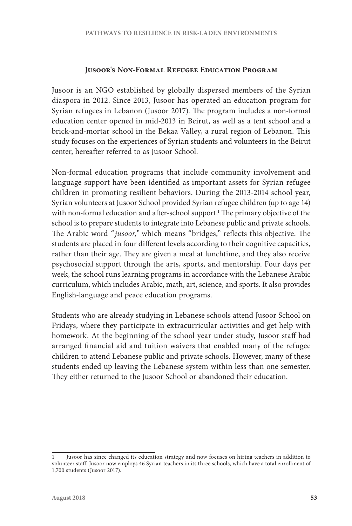#### **Jusoor's Non-Formal Refugee Education Program**

Jusoor is an NGO established by globally dispersed members of the Syrian diaspora in 2012. Since 2013, Jusoor has operated an education program for Syrian refugees in Lebanon (Jusoor 2017). The program includes a non-formal education center opened in mid-2013 in Beirut, as well as a tent school and a brick-and-mortar school in the Bekaa Valley, a rural region of Lebanon. This study focuses on the experiences of Syrian students and volunteers in the Beirut center, hereafter referred to as Jusoor School.

Non-formal education programs that include community involvement and language support have been identified as important assets for Syrian refugee children in promoting resilient behaviors. During the 2013-2014 school year, Syrian volunteers at Jusoor School provided Syrian refugee children (up to age 14) with non-formal education and after-school support.<sup>1</sup> The primary objective of the school is to prepare students to integrate into Lebanese public and private schools. The Arabic word *" jusoor,"* which means "bridges," reflects this objective. The students are placed in four different levels according to their cognitive capacities, rather than their age. They are given a meal at lunchtime, and they also receive psychosocial support through the arts, sports, and mentorship. Four days per week, the school runs learning programs in accordance with the Lebanese Arabic curriculum, which includes Arabic, math, art, science, and sports. It also provides English-language and peace education programs.

Students who are already studying in Lebanese schools attend Jusoor School on Fridays, where they participate in extracurricular activities and get help with homework. At the beginning of the school year under study, Jusoor staff had arranged financial aid and tuition waivers that enabled many of the refugee children to attend Lebanese public and private schools. However, many of these students ended up leaving the Lebanese system within less than one semester. They either returned to the Jusoor School or abandoned their education.

<sup>1</sup> Jusoor has since changed its education strategy and now focuses on hiring teachers in addition to volunteer staff. Jusoor now employs 46 Syrian teachers in its three schools, which have a total enrollment of 1,700 students (Jusoor 2017).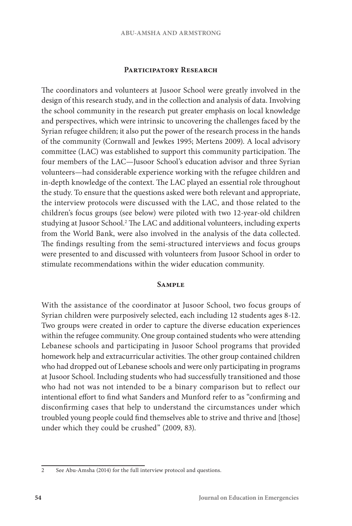#### **Participatory Research**

The coordinators and volunteers at Jusoor School were greatly involved in the design of this research study, and in the collection and analysis of data. Involving the school community in the research put greater emphasis on local knowledge and perspectives, which were intrinsic to uncovering the challenges faced by the Syrian refugee children; it also put the power of the research process in the hands of the community (Cornwall and Jewkes 1995; Mertens 2009). A local advisory committee (LAC) was established to support this community participation. The four members of the LAC—Jusoor School's education advisor and three Syrian volunteers—had considerable experience working with the refugee children and in-depth knowledge of the context. The LAC played an essential role throughout the study. To ensure that the questions asked were both relevant and appropriate, the interview protocols were discussed with the LAC, and those related to the children's focus groups (see below) were piloted with two 12-year-old children studying at Jusoor School.2 The LAC and additional volunteers, including experts from the World Bank, were also involved in the analysis of the data collected. The findings resulting from the semi-structured interviews and focus groups were presented to and discussed with volunteers from Jusoor School in order to stimulate recommendations within the wider education community.

#### **Sample**

With the assistance of the coordinator at Jusoor School, two focus groups of Syrian children were purposively selected, each including 12 students ages 8-12. Two groups were created in order to capture the diverse education experiences within the refugee community. One group contained students who were attending Lebanese schools and participating in Jusoor School programs that provided homework help and extracurricular activities. The other group contained children who had dropped out of Lebanese schools and were only participating in programs at Jusoor School. Including students who had successfully transitioned and those who had not was not intended to be a binary comparison but to reflect our intentional effort to find what Sanders and Munford refer to as "confirming and disconfirming cases that help to understand the circumstances under which troubled young people could find themselves able to strive and thrive and [those] under which they could be crushed" (2009, 83).

<sup>2</sup> See Abu-Amsha (2014) for the full interview protocol and questions.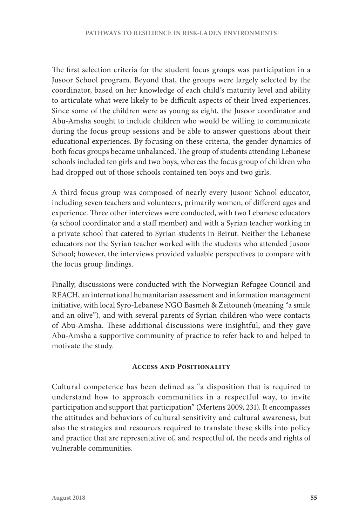The first selection criteria for the student focus groups was participation in a Jusoor School program. Beyond that, the groups were largely selected by the coordinator, based on her knowledge of each child's maturity level and ability to articulate what were likely to be difficult aspects of their lived experiences. Since some of the children were as young as eight, the Jusoor coordinator and Abu-Amsha sought to include children who would be willing to communicate during the focus group sessions and be able to answer questions about their educational experiences. By focusing on these criteria, the gender dynamics of both focus groups became unbalanced. The group of students attending Lebanese schools included ten girls and two boys, whereas the focus group of children who had dropped out of those schools contained ten boys and two girls.

A third focus group was composed of nearly every Jusoor School educator, including seven teachers and volunteers, primarily women, of different ages and experience. Three other interviews were conducted, with two Lebanese educators (a school coordinator and a staff member) and with a Syrian teacher working in a private school that catered to Syrian students in Beirut. Neither the Lebanese educators nor the Syrian teacher worked with the students who attended Jusoor School; however, the interviews provided valuable perspectives to compare with the focus group findings.

Finally, discussions were conducted with the Norwegian Refugee Council and REACH, an international humanitarian assessment and information management initiative, with local Syro-Lebanese NGO Basmeh & Zeitouneh (meaning "a smile and an olive"), and with several parents of Syrian children who were contacts of Abu-Amsha. These additional discussions were insightful, and they gave Abu-Amsha a supportive community of practice to refer back to and helped to motivate the study.

#### **Access and Positionality**

Cultural competence has been defined as "a disposition that is required to understand how to approach communities in a respectful way, to invite participation and support that participation" (Mertens 2009, 231). It encompasses the attitudes and behaviors of cultural sensitivity and cultural awareness, but also the strategies and resources required to translate these skills into policy and practice that are representative of, and respectful of, the needs and rights of vulnerable communities.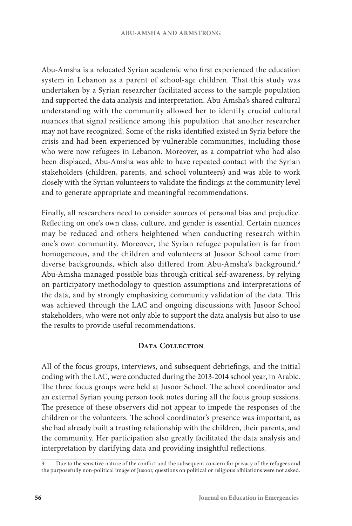Abu-Amsha is a relocated Syrian academic who first experienced the education system in Lebanon as a parent of school-age children. That this study was undertaken by a Syrian researcher facilitated access to the sample population and supported the data analysis and interpretation. Abu-Amsha's shared cultural understanding with the community allowed her to identify crucial cultural nuances that signal resilience among this population that another researcher may not have recognized. Some of the risks identified existed in Syria before the crisis and had been experienced by vulnerable communities, including those who were now refugees in Lebanon. Moreover, as a compatriot who had also been displaced, Abu-Amsha was able to have repeated contact with the Syrian stakeholders (children, parents, and school volunteers) and was able to work closely with the Syrian volunteers to validate the findings at the community level and to generate appropriate and meaningful recommendations.

Finally, all researchers need to consider sources of personal bias and prejudice. Reflecting on one's own class, culture, and gender is essential. Certain nuances may be reduced and others heightened when conducting research within one's own community. Moreover, the Syrian refugee population is far from homogeneous, and the children and volunteers at Jusoor School came from diverse backgrounds, which also differed from Abu-Amsha's background.<sup>3</sup> Abu-Amsha managed possible bias through critical self-awareness, by relying on participatory methodology to question assumptions and interpretations of the data, and by strongly emphasizing community validation of the data. This was achieved through the LAC and ongoing discussions with Jusoor School stakeholders, who were not only able to support the data analysis but also to use the results to provide useful recommendations.

#### DATA COLLECTION

All of the focus groups, interviews, and subsequent debriefings, and the initial coding with the LAC, were conducted during the 2013-2014 school year, in Arabic. The three focus groups were held at Jusoor School. The school coordinator and an external Syrian young person took notes during all the focus group sessions. The presence of these observers did not appear to impede the responses of the children or the volunteers. The school coordinator's presence was important, as she had already built a trusting relationship with the children, their parents, and the community. Her participation also greatly facilitated the data analysis and interpretation by clarifying data and providing insightful reflections.

<sup>3</sup> Due to the sensitive nature of the conflict and the subsequent concern for privacy of the refugees and the purposefully non-political image of Jusoor, questions on political or religious affiliations were not asked.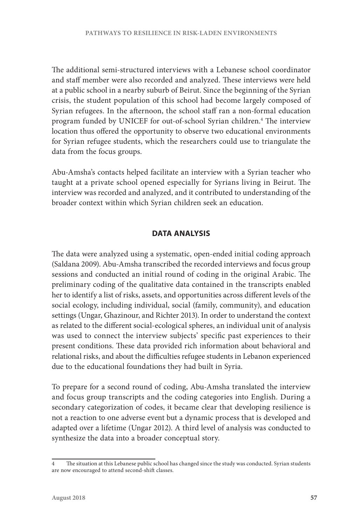The additional semi-structured interviews with a Lebanese school coordinator and staff member were also recorded and analyzed. These interviews were held at a public school in a nearby suburb of Beirut. Since the beginning of the Syrian crisis, the student population of this school had become largely composed of Syrian refugees. In the afternoon, the school staff ran a non-formal education program funded by UNICEF for out-of-school Syrian children.4 The interview location thus offered the opportunity to observe two educational environments for Syrian refugee students, which the researchers could use to triangulate the data from the focus groups.

Abu-Amsha's contacts helped facilitate an interview with a Syrian teacher who taught at a private school opened especially for Syrians living in Beirut. The interview was recorded and analyzed, and it contributed to understanding of the broader context within which Syrian children seek an education.

# **DATA ANALYSIS**

The data were analyzed using a systematic, open-ended initial coding approach (Saldana 2009). Abu-Amsha transcribed the recorded interviews and focus group sessions and conducted an initial round of coding in the original Arabic. The preliminary coding of the qualitative data contained in the transcripts enabled her to identify a list of risks, assets, and opportunities across different levels of the social ecology, including individual, social (family, community), and education settings (Ungar, Ghazinour, and Richter 2013). In order to understand the context as related to the different social-ecological spheres, an individual unit of analysis was used to connect the interview subjects' specific past experiences to their present conditions. These data provided rich information about behavioral and relational risks, and about the difficulties refugee students in Lebanon experienced due to the educational foundations they had built in Syria.

To prepare for a second round of coding, Abu-Amsha translated the interview and focus group transcripts and the coding categories into English. During a secondary categorization of codes, it became clear that developing resilience is not a reaction to one adverse event but a dynamic process that is developed and adapted over a lifetime (Ungar 2012). A third level of analysis was conducted to synthesize the data into a broader conceptual story.

<sup>4</sup> The situation at this Lebanese public school has changed since the study was conducted. Syrian students are now encouraged to attend second-shift classes.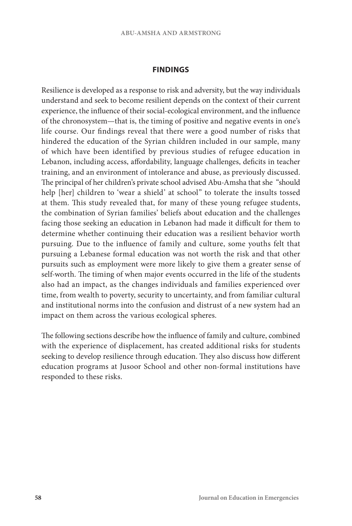#### **FINDINGS**

Resilience is developed as a response to risk and adversity, but the way individuals understand and seek to become resilient depends on the context of their current experience, the influence of their social-ecological environment, and the influence of the chronosystem—that is, the timing of positive and negative events in one's life course. Our findings reveal that there were a good number of risks that hindered the education of the Syrian children included in our sample, many of which have been identified by previous studies of refugee education in Lebanon, including access, affordability, language challenges, deficits in teacher training, and an environment of intolerance and abuse, as previously discussed. The principal of her children's private school advised Abu-Amsha that she "should help [her] children to 'wear a shield' at school" to tolerate the insults tossed at them. This study revealed that, for many of these young refugee students, the combination of Syrian families' beliefs about education and the challenges facing those seeking an education in Lebanon had made it difficult for them to determine whether continuing their education was a resilient behavior worth pursuing. Due to the influence of family and culture, some youths felt that pursuing a Lebanese formal education was not worth the risk and that other pursuits such as employment were more likely to give them a greater sense of self-worth. The timing of when major events occurred in the life of the students also had an impact, as the changes individuals and families experienced over time, from wealth to poverty, security to uncertainty, and from familiar cultural and institutional norms into the confusion and distrust of a new system had an impact on them across the various ecological spheres.

The following sections describe how the influence of family and culture, combined with the experience of displacement, has created additional risks for students seeking to develop resilience through education. They also discuss how different education programs at Jusoor School and other non-formal institutions have responded to these risks.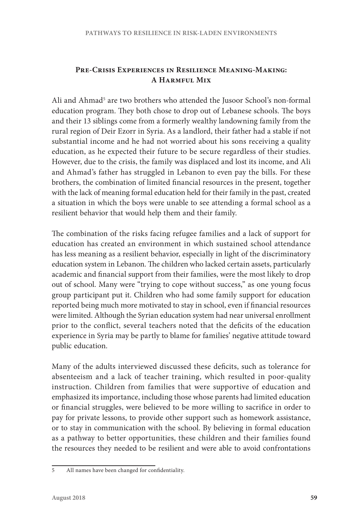# **Pre-Crisis Experiences in Resilience Meaning-Making: A Harmful Mix**

Ali and Ahmad<sup>5</sup> are two brothers who attended the Jusoor School's non-formal education program. They both chose to drop out of Lebanese schools. The boys and their 13 siblings come from a formerly wealthy landowning family from the rural region of Deir Ezorr in Syria. As a landlord, their father had a stable if not substantial income and he had not worried about his sons receiving a quality education, as he expected their future to be secure regardless of their studies. However, due to the crisis, the family was displaced and lost its income, and Ali and Ahmad's father has struggled in Lebanon to even pay the bills. For these brothers, the combination of limited financial resources in the present, together with the lack of meaning formal education held for their family in the past, created a situation in which the boys were unable to see attending a formal school as a resilient behavior that would help them and their family.

The combination of the risks facing refugee families and a lack of support for education has created an environment in which sustained school attendance has less meaning as a resilient behavior, especially in light of the discriminatory education system in Lebanon. The children who lacked certain assets, particularly academic and financial support from their families, were the most likely to drop out of school. Many were "trying to cope without success," as one young focus group participant put it. Children who had some family support for education reported being much more motivated to stay in school, even if financial resources were limited. Although the Syrian education system had near universal enrollment prior to the conflict, several teachers noted that the deficits of the education experience in Syria may be partly to blame for families' negative attitude toward public education.

Many of the adults interviewed discussed these deficits, such as tolerance for absenteeism and a lack of teacher training, which resulted in poor-quality instruction. Children from families that were supportive of education and emphasized its importance, including those whose parents had limited education or financial struggles, were believed to be more willing to sacrifice in order to pay for private lessons, to provide other support such as homework assistance, or to stay in communication with the school. By believing in formal education as a pathway to better opportunities, these children and their families found the resources they needed to be resilient and were able to avoid confrontations

<sup>5</sup> All names have been changed for confidentiality.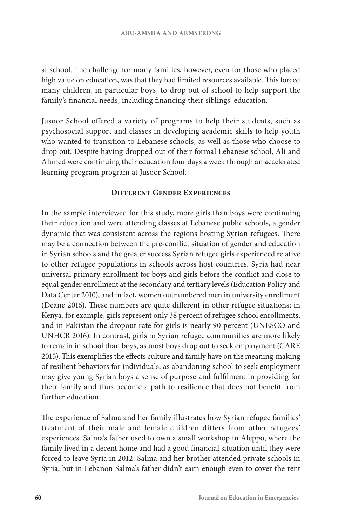at school. The challenge for many families, however, even for those who placed high value on education, was that they had limited resources available. This forced many children, in particular boys, to drop out of school to help support the family's financial needs, including financing their siblings' education.

Jusoor School offered a variety of programs to help their students, such as psychosocial support and classes in developing academic skills to help youth who wanted to transition to Lebanese schools, as well as those who choose to drop out. Despite having dropped out of their formal Lebanese school, Ali and Ahmed were continuing their education four days a week through an accelerated learning program program at Jusoor School.

#### **Different Gender Experiences**

In the sample interviewed for this study, more girls than boys were continuing their education and were attending classes at Lebanese public schools, a gender dynamic that was consistent across the regions hosting Syrian refugees. There may be a connection between the pre-conflict situation of gender and education in Syrian schools and the greater success Syrian refugee girls experienced relative to other refugee populations in schools across host countries. Syria had near universal primary enrollment for boys and girls before the conflict and close to equal gender enrollment at the secondary and tertiary levels (Education Policy and Data Center 2010), and in fact, women outnumbered men in university enrollment (Deane 2016). These numbers are quite different in other refugee situations; in Kenya, for example, girls represent only 38 percent of refugee school enrollments, and in Pakistan the dropout rate for girls is nearly 90 percent (UNESCO and UNHCR 2016). In contrast, girls in Syrian refugee communities are more likely to remain in school than boys, as most boys drop out to seek employment (CARE 2015). This exemplifies the effects culture and family have on the meaning-making of resilient behaviors for individuals, as abandoning school to seek employment may give young Syrian boys a sense of purpose and fulfilment in providing for their family and thus become a path to resilience that does not benefit from further education.

The experience of Salma and her family illustrates how Syrian refugee families' treatment of their male and female children differs from other refugees' experiences. Salma's father used to own a small workshop in Aleppo, where the family lived in a decent home and had a good financial situation until they were forced to leave Syria in 2012. Salma and her brother attended private schools in Syria, but in Lebanon Salma's father didn't earn enough even to cover the rent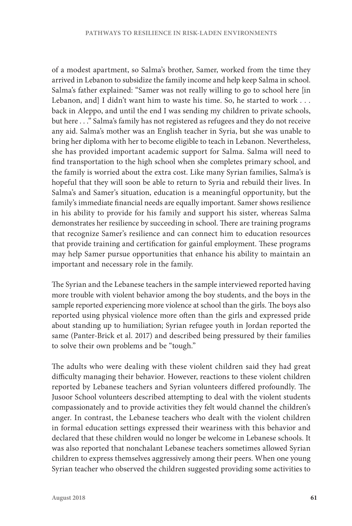of a modest apartment, so Salma's brother, Samer, worked from the time they arrived in Lebanon to subsidize the family income and help keep Salma in school. Salma's father explained: "Samer was not really willing to go to school here [in Lebanon, and] I didn't want him to waste his time. So, he started to work . . . back in Aleppo, and until the end I was sending my children to private schools, but here . . ." Salma's family has not registered as refugees and they do not receive any aid. Salma's mother was an English teacher in Syria, but she was unable to bring her diploma with her to become eligible to teach in Lebanon. Nevertheless, she has provided important academic support for Salma. Salma will need to find transportation to the high school when she completes primary school, and the family is worried about the extra cost. Like many Syrian families, Salma's is hopeful that they will soon be able to return to Syria and rebuild their lives. In Salma's and Samer's situation, education is a meaningful opportunity, but the family's immediate financial needs are equally important. Samer shows resilience in his ability to provide for his family and support his sister, whereas Salma demonstrates her resilience by succeeding in school. There are training programs that recognize Samer's resilience and can connect him to education resources that provide training and certification for gainful employment. These programs may help Samer pursue opportunities that enhance his ability to maintain an important and necessary role in the family.

The Syrian and the Lebanese teachers in the sample interviewed reported having more trouble with violent behavior among the boy students, and the boys in the sample reported experiencing more violence at school than the girls. The boys also reported using physical violence more often than the girls and expressed pride about standing up to humiliation; Syrian refugee youth in Jordan reported the same (Panter-Brick et al. 2017) and described being pressured by their families to solve their own problems and be "tough."

The adults who were dealing with these violent children said they had great difficulty managing their behavior. However, reactions to these violent children reported by Lebanese teachers and Syrian volunteers differed profoundly. The Jusoor School volunteers described attempting to deal with the violent students compassionately and to provide activities they felt would channel the children's anger. In contrast, the Lebanese teachers who dealt with the violent children in formal education settings expressed their weariness with this behavior and declared that these children would no longer be welcome in Lebanese schools. It was also reported that nonchalant Lebanese teachers sometimes allowed Syrian children to express themselves aggressively among their peers. When one young Syrian teacher who observed the children suggested providing some activities to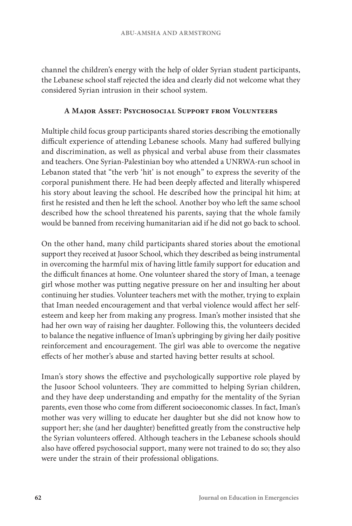channel the children's energy with the help of older Syrian student participants, the Lebanese school staff rejected the idea and clearly did not welcome what they considered Syrian intrusion in their school system.

### **A Major Asset: Psychosocial Support from Volunteers**

Multiple child focus group participants shared stories describing the emotionally difficult experience of attending Lebanese schools. Many had suffered bullying and discrimination, as well as physical and verbal abuse from their classmates and teachers. One Syrian-Palestinian boy who attended a UNRWA-run school in Lebanon stated that "the verb 'hit' is not enough" to express the severity of the corporal punishment there. He had been deeply affected and literally whispered his story about leaving the school. He described how the principal hit him; at first he resisted and then he left the school. Another boy who left the same school described how the school threatened his parents, saying that the whole family would be banned from receiving humanitarian aid if he did not go back to school.

On the other hand, many child participants shared stories about the emotional support they received at Jusoor School, which they described as being instrumental in overcoming the harmful mix of having little family support for education and the difficult finances at home. One volunteer shared the story of Iman, a teenage girl whose mother was putting negative pressure on her and insulting her about continuing her studies. Volunteer teachers met with the mother, trying to explain that Iman needed encouragement and that verbal violence would affect her selfesteem and keep her from making any progress. Iman's mother insisted that she had her own way of raising her daughter. Following this, the volunteers decided to balance the negative influence of Iman's upbringing by giving her daily positive reinforcement and encouragement. The girl was able to overcome the negative effects of her mother's abuse and started having better results at school.

Iman's story shows the effective and psychologically supportive role played by the Jusoor School volunteers. They are committed to helping Syrian children, and they have deep understanding and empathy for the mentality of the Syrian parents, even those who come from different socioeconomic classes. In fact, Iman's mother was very willing to educate her daughter but she did not know how to support her; she (and her daughter) benefitted greatly from the constructive help the Syrian volunteers offered. Although teachers in the Lebanese schools should also have offered psychosocial support, many were not trained to do so; they also were under the strain of their professional obligations.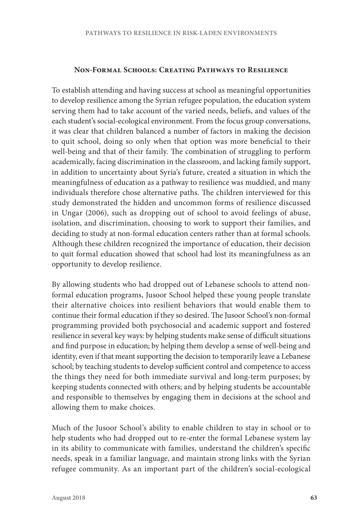#### **Non-Formal Schools: Creating Pathways to Resilience**

To establish attending and having success at school as meaningful opportunities to develop resilience among the Syrian refugee population, the education system serving them had to take account of the varied needs, beliefs, and values of the each student's social-ecological environment. From the focus group conversations, it was clear that children balanced a number of factors in making the decision to quit school, doing so only when that option was more beneficial to their well-being and that of their family. The combination of struggling to perform academically, facing discrimination in the classroom, and lacking family support, in addition to uncertainty about Syria's future, created a situation in which the meaningfulness of education as a pathway to resilience was muddied, and many individuals therefore chose alternative paths. The children interviewed for this study demonstrated the hidden and uncommon forms of resilience discussed in Ungar (2006), such as dropping out of school to avoid feelings of abuse, isolation, and discrimination, choosing to work to support their families, and deciding to study at non-formal education centers rather than at formal schools. Although these children recognized the importance of education, their decision to quit formal education showed that school had lost its meaningfulness as an opportunity to develop resilience.

By allowing students who had dropped out of Lebanese schools to attend nonformal education programs, Jusoor School helped these young people translate their alternative choices into resilient behaviors that would enable them to continue their formal education if they so desired. The Jusoor School's non-formal programming provided both psychosocial and academic support and fostered resilience in several key ways: by helping students make sense of difficult situations and find purpose in education; by helping them develop a sense of well-being and identity, even if that meant supporting the decision to temporarily leave a Lebanese school; by teaching students to develop sufficient control and competence to access the things they need for both immediate survival and long-term purposes; by keeping students connected with others; and by helping students be accountable and responsible to themselves by engaging them in decisions at the school and allowing them to make choices.

Much of the Jusoor School's ability to enable children to stay in school or to help students who had dropped out to re-enter the formal Lebanese system lay in its ability to communicate with families, understand the children's specific needs, speak in a familiar language, and maintain strong links with the Syrian refugee community. As an important part of the children's social-ecological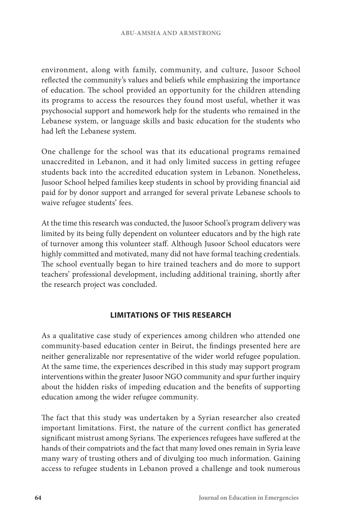environment, along with family, community, and culture, Jusoor School reflected the community's values and beliefs while emphasizing the importance of education. The school provided an opportunity for the children attending its programs to access the resources they found most useful, whether it was psychosocial support and homework help for the students who remained in the Lebanese system, or language skills and basic education for the students who had left the Lebanese system.

One challenge for the school was that its educational programs remained unaccredited in Lebanon, and it had only limited success in getting refugee students back into the accredited education system in Lebanon. Nonetheless, Jusoor School helped families keep students in school by providing financial aid paid for by donor support and arranged for several private Lebanese schools to waive refugee students' fees.

At the time this research was conducted, the Jusoor School's program delivery was limited by its being fully dependent on volunteer educators and by the high rate of turnover among this volunteer staff. Although Jusoor School educators were highly committed and motivated, many did not have formal teaching credentials. The school eventually began to hire trained teachers and do more to support teachers' professional development, including additional training, shortly after the research project was concluded.

# **LIMITATIONS OF THIS RESEARCH**

As a qualitative case study of experiences among children who attended one community-based education center in Beirut, the findings presented here are neither generalizable nor representative of the wider world refugee population. At the same time, the experiences described in this study may support program interventions within the greater Jusoor NGO community and spur further inquiry about the hidden risks of impeding education and the benefits of supporting education among the wider refugee community.

The fact that this study was undertaken by a Syrian researcher also created important limitations. First, the nature of the current conflict has generated significant mistrust among Syrians. The experiences refugees have suffered at the hands of their compatriots and the fact that many loved ones remain in Syria leave many wary of trusting others and of divulging too much information. Gaining access to refugee students in Lebanon proved a challenge and took numerous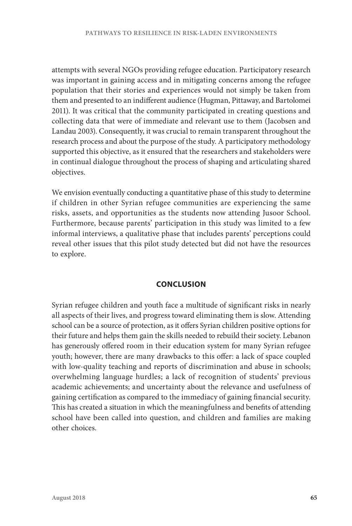attempts with several NGOs providing refugee education. Participatory research was important in gaining access and in mitigating concerns among the refugee population that their stories and experiences would not simply be taken from them and presented to an indifferent audience (Hugman, Pittaway, and Bartolomei 2011). It was critical that the community participated in creating questions and collecting data that were of immediate and relevant use to them (Jacobsen and Landau 2003). Consequently, it was crucial to remain transparent throughout the research process and about the purpose of the study. A participatory methodology supported this objective, as it ensured that the researchers and stakeholders were in continual dialogue throughout the process of shaping and articulating shared objectives.

We envision eventually conducting a quantitative phase of this study to determine if children in other Syrian refugee communities are experiencing the same risks, assets, and opportunities as the students now attending Jusoor School. Furthermore, because parents' participation in this study was limited to a few informal interviews, a qualitative phase that includes parents' perceptions could reveal other issues that this pilot study detected but did not have the resources to explore.

# **CONCLUSION**

Syrian refugee children and youth face a multitude of significant risks in nearly all aspects of their lives, and progress toward eliminating them is slow. Attending school can be a source of protection, as it offers Syrian children positive options for their future and helps them gain the skills needed to rebuild their society. Lebanon has generously offered room in their education system for many Syrian refugee youth; however, there are many drawbacks to this offer: a lack of space coupled with low-quality teaching and reports of discrimination and abuse in schools; overwhelming language hurdles; a lack of recognition of students' previous academic achievements; and uncertainty about the relevance and usefulness of gaining certification as compared to the immediacy of gaining financial security. This has created a situation in which the meaningfulness and benefits of attending school have been called into question, and children and families are making other choices.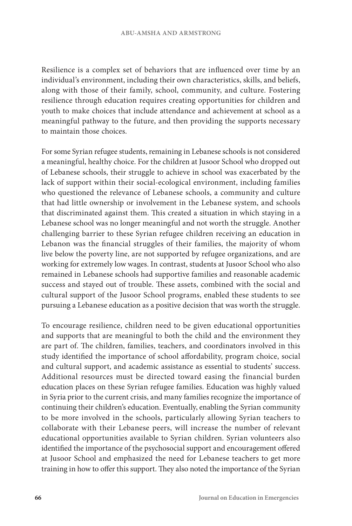Resilience is a complex set of behaviors that are influenced over time by an individual's environment, including their own characteristics, skills, and beliefs, along with those of their family, school, community, and culture. Fostering resilience through education requires creating opportunities for children and youth to make choices that include attendance and achievement at school as a meaningful pathway to the future, and then providing the supports necessary to maintain those choices.

For some Syrian refugee students, remaining in Lebanese schools is not considered a meaningful, healthy choice. For the children at Jusoor School who dropped out of Lebanese schools, their struggle to achieve in school was exacerbated by the lack of support within their social-ecological environment, including families who questioned the relevance of Lebanese schools, a community and culture that had little ownership or involvement in the Lebanese system, and schools that discriminated against them. This created a situation in which staying in a Lebanese school was no longer meaningful and not worth the struggle. Another challenging barrier to these Syrian refugee children receiving an education in Lebanon was the financial struggles of their families, the majority of whom live below the poverty line, are not supported by refugee organizations, and are working for extremely low wages. In contrast, students at Jusoor School who also remained in Lebanese schools had supportive families and reasonable academic success and stayed out of trouble. These assets, combined with the social and cultural support of the Jusoor School programs, enabled these students to see pursuing a Lebanese education as a positive decision that was worth the struggle.

To encourage resilience, children need to be given educational opportunities and supports that are meaningful to both the child and the environment they are part of. The children, families, teachers, and coordinators involved in this study identified the importance of school affordability, program choice, social and cultural support, and academic assistance as essential to students' success. Additional resources must be directed toward easing the financial burden education places on these Syrian refugee families. Education was highly valued in Syria prior to the current crisis, and many families recognize the importance of continuing their children's education. Eventually, enabling the Syrian community to be more involved in the schools, particularly allowing Syrian teachers to collaborate with their Lebanese peers, will increase the number of relevant educational opportunities available to Syrian children. Syrian volunteers also identified the importance of the psychosocial support and encouragement offered at Jusoor School and emphasized the need for Lebanese teachers to get more training in how to offer this support. They also noted the importance of the Syrian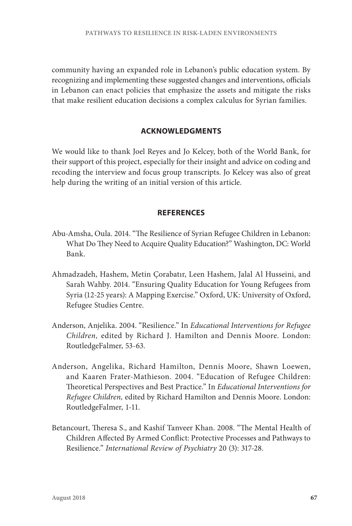community having an expanded role in Lebanon's public education system. By recognizing and implementing these suggested changes and interventions, officials in Lebanon can enact policies that emphasize the assets and mitigate the risks that make resilient education decisions a complex calculus for Syrian families.

# **ACKNOWLEDGMENTS**

We would like to thank Joel Reyes and Jo Kelcey, both of the World Bank, for their support of this project, especially for their insight and advice on coding and recoding the interview and focus group transcripts. Jo Kelcey was also of great help during the writing of an initial version of this article.

# **REFERENCES**

- Abu-Amsha, Oula. 2014. "The Resilience of Syrian Refugee Children in Lebanon: What Do They Need to Acquire Quality Education?" Washington, DC: World Bank.
- Ahmadzadeh, Hashem, Metin Çorabatır, Leen Hashem, Jalal Al Husseini, and Sarah Wahby. 2014. "Ensuring Quality Education for Young Refugees from Syria (12-25 years): A Mapping Exercise." Oxford, UK: University of Oxford, Refugee Studies Centre.
- Anderson, Anjelika. 2004. "Resilience." In *Educational Interventions for Refugee Children,* edited by Richard J. Hamilton and Dennis Moore. London: RoutledgeFalmer, 53-63.
- Anderson, Angelika, Richard Hamilton, Dennis Moore, Shawn Loewen, and Kaaren Frater-Mathieson. 2004. "Education of Refugee Children: Theoretical Perspectives and Best Practice." In *Educational Interventions for Refugee Children,* edited by Richard Hamilton and Dennis Moore. London: RoutledgeFalmer, 1-11.
- Betancourt, Theresa S., and Kashif Tanveer Khan. 2008. "The Mental Health of Children Affected By Armed Conflict: Protective Processes and Pathways to Resilience." *International Review of Psychiatry* 20 (3): 317-28.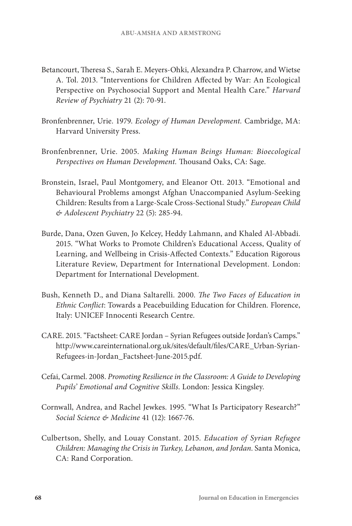- Betancourt, Theresa S., Sarah E. Meyers-Ohki, Alexandra P. Charrow, and Wietse A. Tol. 2013. "Interventions for Children Affected by War: An Ecological Perspective on Psychosocial Support and Mental Health Care." *Harvard Review of Psychiatry* 21 (2): 70-91.
- Bronfenbrenner, Urie. 1979. *Ecology of Human Development.* Cambridge, MA: Harvard University Press.
- Bronfenbrenner, Urie. 2005. *Making Human Beings Human: Bioecological Perspectives on Human Development.* Thousand Oaks, CA: Sage.
- Bronstein, Israel, Paul Montgomery, and Eleanor Ott. 2013. "Emotional and Behavioural Problems amongst Afghan Unaccompanied Asylum-Seeking Children: Results from a Large-Scale Cross-Sectional Study." *European Child & Adolescent Psychiatry* 22 (5): 285-94.
- Burde, Dana, Ozen Guven, Jo Kelcey, Heddy Lahmann, and Khaled Al-Abbadi. 2015. "What Works to Promote Children's Educational Access, Quality of Learning, and Wellbeing in Crisis-Affected Contexts." Education Rigorous Literature Review, Department for International Development. London: Department for International Development.
- Bush, Kenneth D., and Diana Saltarelli. 2000. *The Two Faces of Education in Ethnic Conflict*: Towards a Peacebuilding Education for Children*.* Florence, Italy: UNICEF Innocenti Research Centre.
- CARE. 2015. "Factsheet: CARE Jordan Syrian Refugees outside Jordan's Camps." http://www.careinternational.org.uk/sites/default/files/CARE\_Urban-Syrian-Refugees-in-Jordan\_Factsheet-June-2015.pdf.
- Cefai, Carmel. 2008. *Promoting Resilience in the Classroom: A Guide to Developing Pupils' Emotional and Cognitive Skills*. London: Jessica Kingsley.
- Cornwall, Andrea, and Rachel Jewkes. 1995. "What Is Participatory Research?" *Social Science & Medicine* 41 (12): 1667-76.
- Culbertson, Shelly, and Louay Constant. 2015. *Education of Syrian Refugee Children: Managing the Crisis in Turkey, Lebanon, and Jordan*. Santa Monica, CA: Rand Corporation.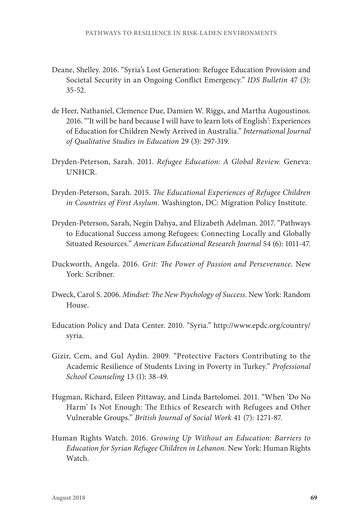- Deane, Shelley. 2016. "Syria's Lost Generation: Refugee Education Provision and Societal Security in an Ongoing Conflict Emergency." *IDS Bulletin* 47 (3): 35-52.
- de Heer, Nathaniel, Clemence Due, Damien W. Riggs, and Martha Augoustinos. 2016. "'It will be hard because I will have to learn lots of English': Experiences of Education for Children Newly Arrived in Australia." *International Journal of Qualitative Studies in Education* 29 (3): 297-319.
- Dryden-Peterson, Sarah. 2011. *Refugee Education: A Global Review.* Geneva: UNHCR.
- Dryden-Peterson, Sarah. 2015. *The Educational Experiences of Refugee Children in Countries of First Asylum.* Washington, DC: Migration Policy Institute.
- Dryden-Peterson, Sarah, Negin Dahya, and Elizabeth Adelman. 2017. "Pathways to Educational Success among Refugees: Connecting Locally and Globally Situated Resources." *American Educational Research Journal* 54 (6): 1011-47.
- Duckworth, Angela. 2016. *Grit: The Power of Passion and Perseverance*. New York: Scribner.
- Dweck, Carol S. 2006. *Mindset: The New Psychology of Success*. New York: Random House.
- Education Policy and Data Center. 2010. "Syria." http://www.epdc.org/country/ syria.
- Gizir, Cem, and Gul Aydin. 2009. "Protective Factors Contributing to the Academic Resilience of Students Living in Poverty in Turkey." *Professional School Counseling* 13 (1): 38-49.
- Hugman, Richard, Eileen Pittaway, and Linda Bartolomei. 2011. "When 'Do No Harm' Is Not Enough: The Ethics of Research with Refugees and Other Vulnerable Groups." *British Journal of Social Work* 41 (7): 1271-87.
- Human Rights Watch. 2016. *Growing Up Without an Education: Barriers to Education for Syrian Refugee Children in Lebanon.* New York: Human Rights **Watch**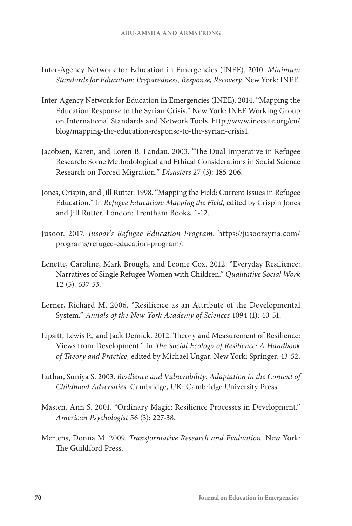- Inter-Agency Network for Education in Emergencies (INEE). 2010. *Minimum Standards for Education: Preparedness, Response, Recovery*. New York: INEE.
- Inter-Agency Network for Education in Emergencies (INEE). 2014. "Mapping the Education Response to the Syrian Crisis." New York: INEE Working Group on International Standards and Network Tools. http://www.ineesite.org/en/ blog/mapping-the-education-response-to-the-syrian-crisis1.
- Jacobsen, Karen, and Loren B. Landau. 2003. "The Dual Imperative in Refugee Research: Some Methodological and Ethical Considerations in Social Science Research on Forced Migration." *Disasters* 27 (3): 185-206.
- Jones, Crispin, and Jill Rutter. 1998. "Mapping the Field: Current Issues in Refugee Education." In *Refugee Education: Mapping the Field,* edited by Crispin Jones and Jill Rutter*.* London: Trentham Books, 1-12.
- Jusoor. 2017. *Jusoor's Refugee Education Program.* https://jusoorsyria.com/ programs/refugee-education-program/.
- Lenette, Caroline, Mark Brough, and Leonie Cox. 2012. "Everyday Resilience: Narratives of Single Refugee Women with Children." *Qualitative Social Work* 12 (5): 637-53.
- Lerner, Richard M. 2006. "Resilience as an Attribute of the Developmental System." *Annals of the New York Academy of Sciences* 1094 (1): 40-51.
- Lipsitt, Lewis P., and Jack Demick. 2012. Theory and Measurement of Resilience: Views from Development." In *The Social Ecology of Resilience: A Handbook of Theory and Practice,* edited by Michael Ungar. New York: Springer, 43-52.
- Luthar, Suniya S. 2003. *Resilience and Vulnerability: Adaptation in the Context of Childhood Adversities*. Cambridge, UK: Cambridge University Press.
- Masten, Ann S. 2001. "Ordinary Magic: Resilience Processes in Development." *American Psychologist* 56 (3): 227-38.
- Mertens, Donna M. 2009. *Transformative Research and Evaluation.* New York: The Guildford Press.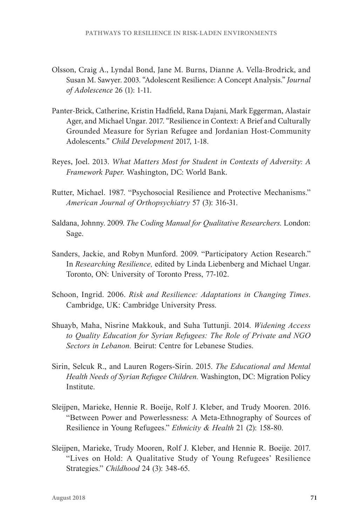- Olsson, Craig A., Lyndal Bond, Jane M. Burns, Dianne A. Vella-Brodrick, and Susan M. Sawyer. 2003. "Adolescent Resilience: A Concept Analysis." *Journal of Adolescence* 26 (1): 1-11.
- Panter-Brick, Catherine, Kristin Hadfield, Rana Dajani, Mark Eggerman, Alastair Ager, and Michael Ungar. 2017. "Resilience in Context: A Brief and Culturally Grounded Measure for Syrian Refugee and Jordanian Host-Community Adolescents." *Child Development* 2017, 1-18.
- Reyes, Joel. 2013. *What Matters Most for Student in Contexts of Adversity: A Framework Paper.* Washington, DC: World Bank.
- Rutter, Michael. 1987. "Psychosocial Resilience and Protective Mechanisms." *American Journal of Orthopsychiatry* 57 (3): 316-31.
- Saldana, Johnny. 2009. *The Coding Manual for Qualitative Researchers.* London: Sage.
- Sanders, Jackie, and Robyn Munford. 2009. "Participatory Action Research." In *Researching Resilience,* edited by Linda Liebenberg and Michael Ungar. Toronto, ON: University of Toronto Press, 77-102.
- Schoon, Ingrid. 2006. *Risk and Resilience: Adaptations in Changing Times*. Cambridge, UK: Cambridge University Press.
- Shuayb, Maha, Nisrine Makkouk, and Suha Tuttunji. 2014. *Widening Access to Quality Education for Syrian Refugees: The Role of Private and NGO Sectors in Lebanon.* Beirut: Centre for Lebanese Studies.
- Sirin, Selcuk R., and Lauren Rogers-Sirin. 2015. *The Educational and Mental Health Needs of Syrian Refugee Children.* Washington, DC: Migration Policy Institute.
- Sleijpen, Marieke, Hennie R. Boeije, Rolf J. Kleber, and Trudy Mooren. 2016. "Between Power and Powerlessness: A Meta-Ethnography of Sources of Resilience in Young Refugees." *Ethnicity & Health* 21 (2): 158-80.
- Sleijpen, Marieke, Trudy Mooren, Rolf J. Kleber, and Hennie R. Boeije. 2017. "Lives on Hold: A Qualitative Study of Young Refugees' Resilience Strategies." *Childhood* 24 (3): 348-65.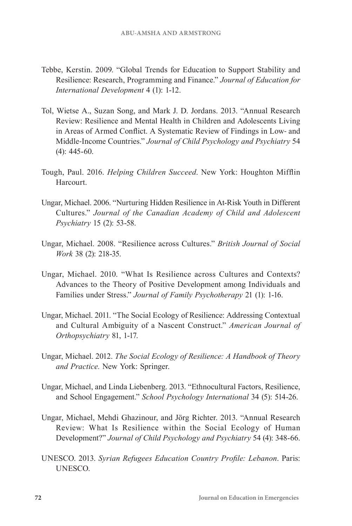- Tebbe, Kerstin. 2009. "Global Trends for Education to Support Stability and Resilience: Research, Programming and Finance." *Journal of Education for International Development* 4 (1): 1-12.
- Tol, Wietse A., Suzan Song, and Mark J. D. Jordans. 2013. "Annual Research Review: Resilience and Mental Health in Children and Adolescents Living in Areas of Armed Conflict. A Systematic Review of Findings in Low‐ and Middle‐Income Countries." *Journal of Child Psychology and Psychiatry* 54 (4): 445-60.
- Tough, Paul. 2016. *Helping Children Succeed*. New York: Houghton Mifflin Harcourt.
- Ungar, Michael. 2006. "Nurturing Hidden Resilience in At-Risk Youth in Different Cultures." *Journal of the Canadian Academy of Child and Adolescent Psychiatry* 15 (2): 53-58.
- Ungar, Michael. 2008. "Resilience across Cultures." *British Journal of Social Work* 38 (2): 218-35.
- Ungar, Michael. 2010. "What Is Resilience across Cultures and Contexts? Advances to the Theory of Positive Development among Individuals and Families under Stress." *Journal of Family Psychotherapy* 21 (1): 1-16.
- Ungar, Michael. 2011. "The Social Ecology of Resilience: Addressing Contextual and Cultural Ambiguity of a Nascent Construct." *American Journal of Orthopsychiatry* 81, 1-17.
- Ungar, Michael. 2012. *The Social Ecology of Resilience: A Handbook of Theory and Practice.* New York: Springer.
- Ungar, Michael, and Linda Liebenberg. 2013. "Ethnocultural Factors, Resilience, and School Engagement." *School Psychology International* 34 (5): 514-26.
- Ungar, Michael, Mehdi Ghazinour, and Jörg Richter. 2013. "Annual Research Review: What Is Resilience within the Social Ecology of Human Development?" *Journal of Child Psychology and Psychiatry* 54 (4): 348-66.
- UNESCO. 2013. *Syrian Refugees Education Country Profile: Lebanon*. Paris: UNESCO.